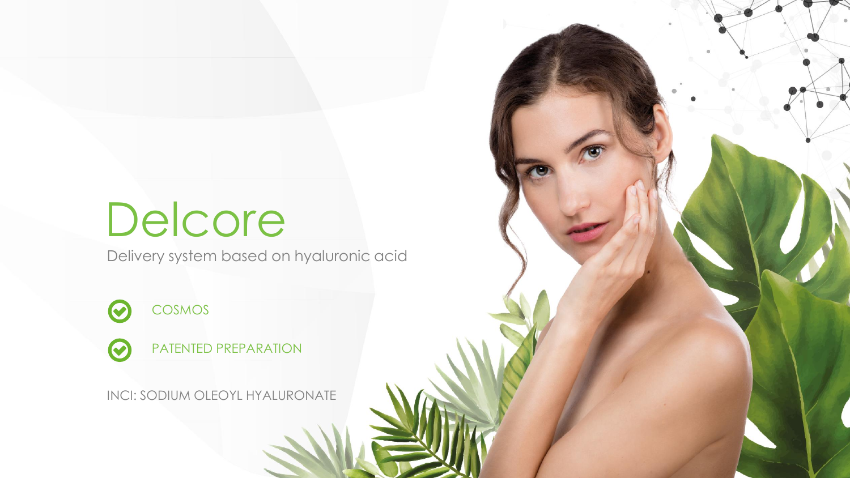# Delcore

Delivery system based on hyaluronic acid

COSMOS  $\odot$ 

 $\bullet$ 

PATENTED PREPARATION

INCI: SODIUM OLEOYL HYALURONATE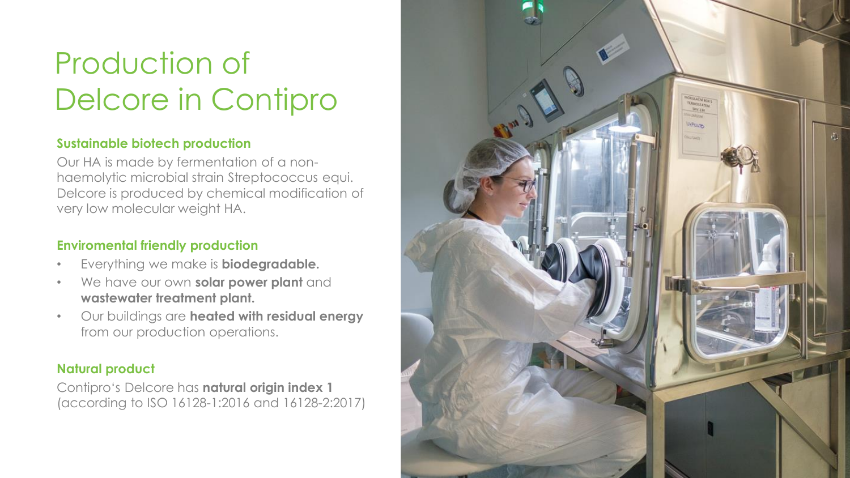## Production of Delcore in Contipro

#### **Sustainable biotech production**

Our HA is made by fermentation of a nonhaemolytic microbial strain Streptococcus equi. Delcore is produced by chemical modification of very low molecular weight HA.

#### **Enviromental friendly production**

- Everything we make is **biodegradable.**
- We have our own **solar power plant** and **wastewater treatment plant.**
- Our buildings are **heated with residual energy**  from our production operations.

#### **Natural product**

Contipro's Delcore has **natural origin index 1**  (according to ISO 16128-1:2016 and 16128-2:2017)

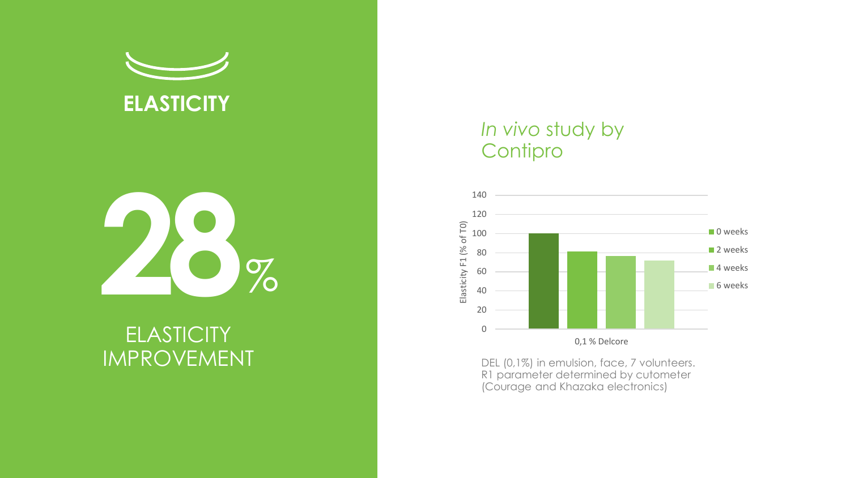



## **ELASTICITY** IMPROVEMENT

### *In vivo* study by **Contipro**



DEL (0, 1%) in emulsion, face, 7 volunteers. R1 parameter determined by cutometer (Courage and Khazaka electronics)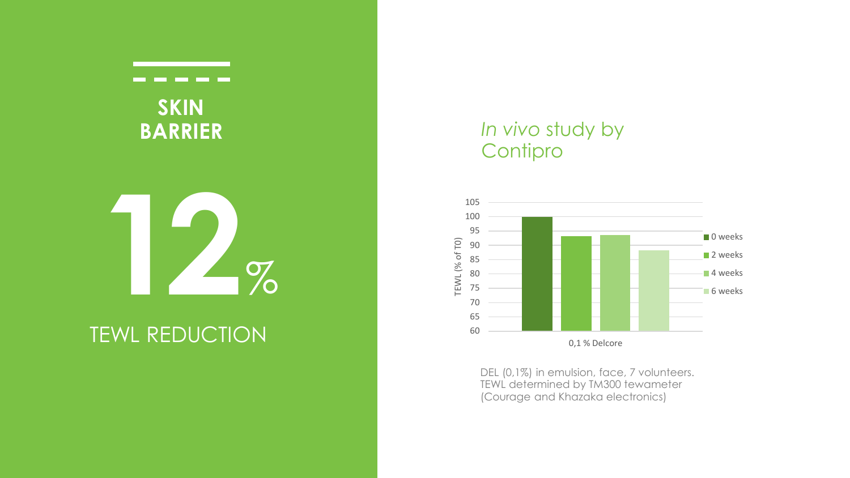

## TEWL REDUCTION

### *In vivo* study by **Contipro**



DEL (0,1%) in emulsion, face, 7 volunteers. TEWL determined by TM300 tewameter (Courage and Khazaka electronics)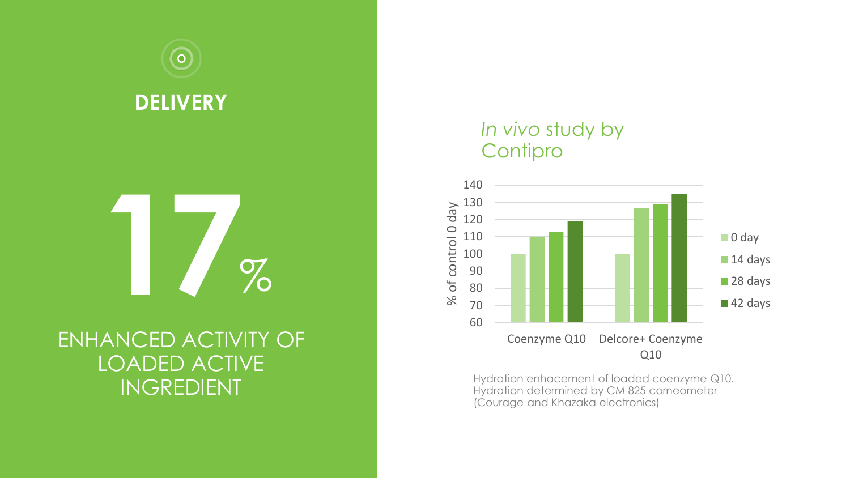

## ENHANCED ACTIVITY OF LOADED ACTIVE INGREDIENT

### *In vivo* study by **Contipro**



Hydration enhacement of loaded coenzyme Q10. Hydration determined by CM 825 corneometer (Courage and Khazaka electronics)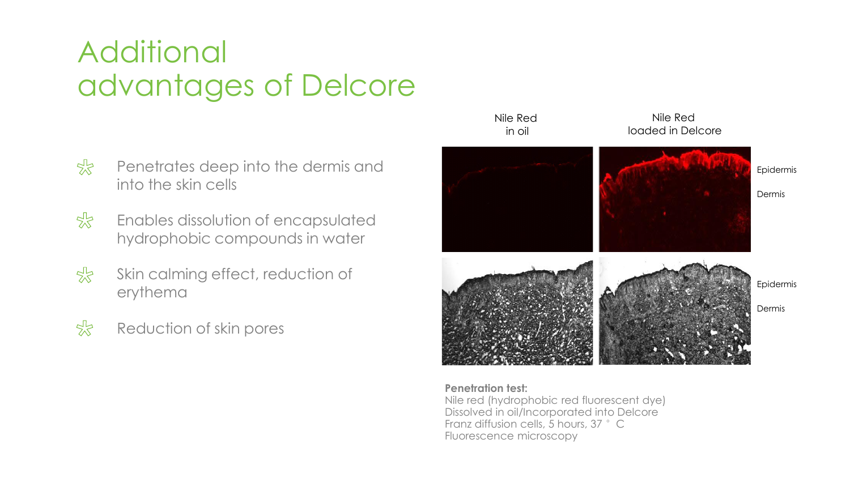## **Additional** advantages of Delcore

- $5\frac{1}{2}$ Penetrates deep into the dermis and into the skin cells
- $5\frac{1}{2}$ Enables dissolution of encapsulated hydrophobic compounds in water
- $5\frac{1}{2}$ Skin calming effect, reduction of erythema
- $5\frac{1}{2}$ Reduction of skin pores



#### **Penetration test:**

Nile red (hydrophobic red fluorescent dye) Dissolved in oil/Incorporated into Delcore Franz diffusion cells, 5 hours, 37 °C Fluorescence microscopy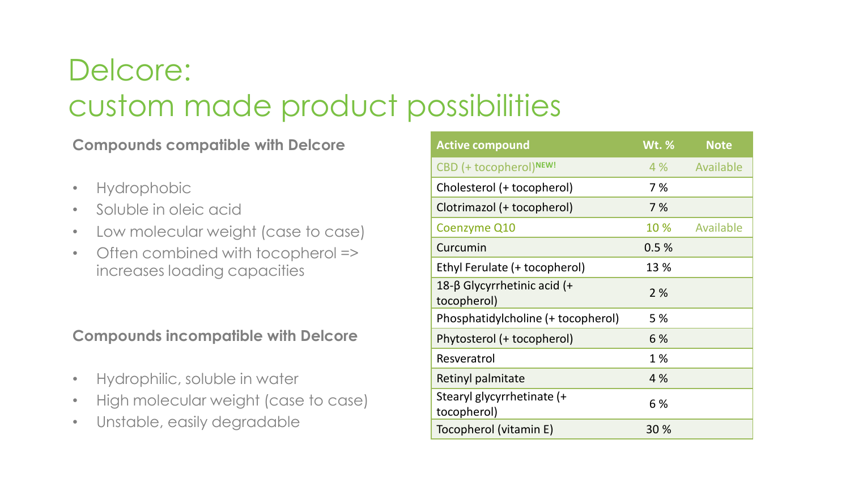## Delcore: custom made product possibilities

#### **Compounds compatible with Delcore**

- Hydrophobic
- Soluble in oleic acid
- Low molecular weight (case to case)
- Often combined with tocopherol => increases loading capacities

### **Compounds incompatible with Delcore**

- Hydrophilic, soluble in water
- High molecular weight (case to case)
- Unstable, easily degradable

| <b>Active compound</b>                        | <b>Wt.</b> % | <b>Note</b>   |
|-----------------------------------------------|--------------|---------------|
| CBD (+ tocopherol)NEW!                        |              | 4 % Available |
| Cholesterol (+ tocopherol)                    | 7 %          |               |
| Clotrimazol (+ tocopherol)                    | 7 %          |               |
| Coenzyme Q10                                  | 10 %         | Available     |
| Curcumin                                      | 0.5%         |               |
| Ethyl Ferulate (+ tocopherol)                 | 13 %         |               |
| 18-β Glycyrrhetinic acid $(+)$<br>tocopherol) | 2%           |               |
| Phosphatidylcholine (+ tocopherol)            | 5 %          |               |
| Phytosterol (+ tocopherol)                    | 6 %          |               |
| Resveratrol                                   | 1%           |               |
| Retinyl palmitate                             | 4 %          |               |
| Stearyl glycyrrhetinate (+<br>tocopherol)     | 6 %          |               |
| Tocopherol (vitamin E)                        | 30%          |               |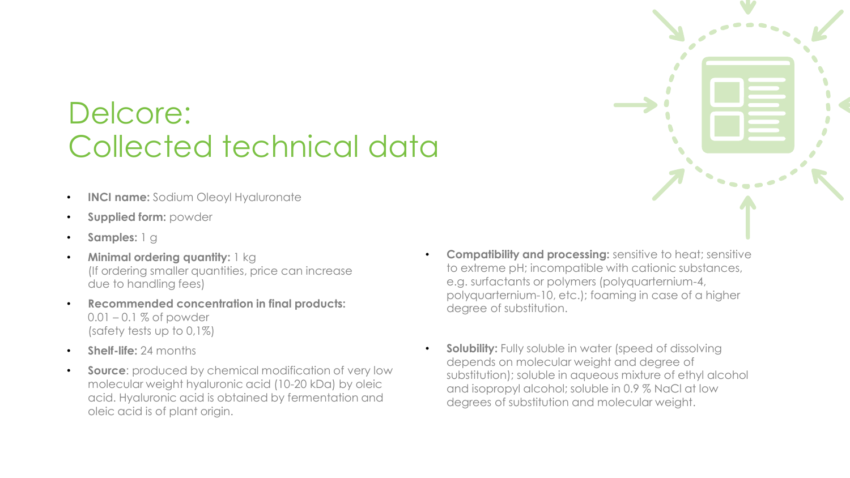## Delcore: Collected technical data

- **INCI name:** Sodium Oleoyl Hyaluronate
- **Supplied form:** powder
- **Samples:** 1 g
- **Minimal ordering quantity:** 1 kg (If ordering smaller quantities, price can increase due to handling fees)
- **Recommended concentration in final products:**  $0.01 - 0.1$  % of powder (safety tests up to 0,1%)
- **Shelf-life:** 24 months
- **Source:** produced by chemical modification of very low molecular weight hyaluronic acid (10-20 kDa) by oleic acid. Hyaluronic acid is obtained by fermentation and oleic acid is of plant origin.
- **Compatibility and processing:** sensitive to heat; sensitive to extreme pH; incompatible with cationic substances, e.g. surfactants or polymers (polyquarternium-4, polyquarternium-10, etc.); foaming in case of a higher degree of substitution.
- **Solubility:** Fully soluble in water (speed of dissolving depends on molecular weight and degree of substitution); soluble in aqueous mixture of ethyl alcohol and isopropyl alcohol; soluble in 0.9 % NaCl at low degrees of substitution and molecular weight.